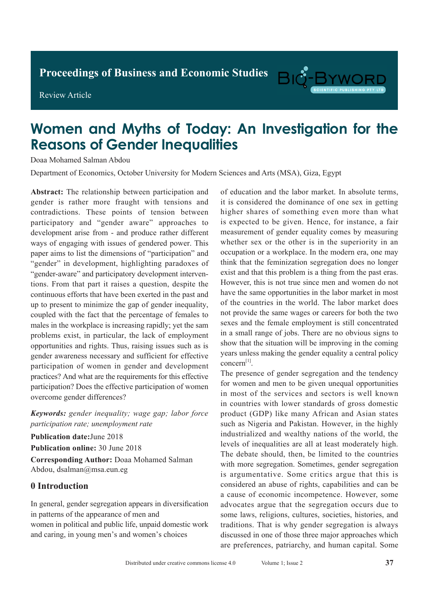**Proceedings of Business and Economic Studies** 

Review Article

# Big-B

# **Women and Myths of Today: An Investigation for the Reasons of Gender Inequalities**

Doaa Mohamed Salman Abdou

Department of Economics, October University for Modern Sciences and Arts (MSA), Giza, Egypt

**Abstract:** The relationship between participation and gender is rather more fraught with tensions and contradictions. These points of tension between participatory and "gender aware" approaches to development arise from - and produce rather different ways of engaging with issues of gendered power. This paper aims to list the dimensions of "participation" and "gender" in development, highlighting paradoxes of "gender-aware" and participatory development interventions. From that part it raises a question, despite the continuous efforts that have been exerted in the past and up to present to minimize the gap of gender inequality, coupled with the fact that the percentage of females to males in the workplace is increasing rapidly; yet the sam problems exist, in particular, the lack of employment opportunities and rights. Thus, raising issues such as is gender awareness necessary and sufficient for effective participation of women in gender and development practices? And what are the requirements for this effective participation? Does the effective participation of women overcome gender differences?

*Keywords: gender inequality; wage gap; labor force participation rate; unemployment rate*

**Publication date:**June 2018 **Publication online:** 30 June 2018 **Corresponding Author:** Doaa Mohamed Salman Abdou, dsalman@msa.eun.eg

#### **0 Introduction**

In general, gender segregation appears in diversification in patterns of the appearance of men and women in political and public life, unpaid domestic work and caring, in young men's and women's choices

of education and the labor market. In absolute terms, it is considered the dominance of one sex in getting higher shares of something even more than what is expected to be given. Hence, for instance, a fair measurement of gender equality comes by measuring whether sex or the other is in the superiority in an occupation or a workplace. In the modern era, one may think that the feminization segregation does no longer exist and that this problem is a thing from the past eras. However, this is not true since men and women do not have the same opportunities in the labor market in most of the countries in the world. The labor market does not provide the same wages or careers for both the two sexes and the female employment is still concentrated in a small range of jobs. There are no obvious signs to show that the situation will be improving in the coming years unless making the gender equality a central policy concern[1].

The presence of gender segregation and the tendency for women and men to be given unequal opportunities in most of the services and sectors is well known in countries with lower standards of gross domestic product (GDP) like many African and Asian states such as Nigeria and Pakistan. However, in the highly industrialized and wealthy nations of the world, the levels of inequalities are all at least moderately high. The debate should, then, be limited to the countries with more segregation. Sometimes, gender segregation is argumentative. Some critics argue that this is considered an abuse of rights, capabilities and can be a cause of economic incompetence. However, some advocates argue that the segregation occurs due to some laws, religions, cultures, societies, histories, and traditions. That is why gender segregation is always discussed in one of those three major approaches which are preferences, patriarchy, and human capital. Some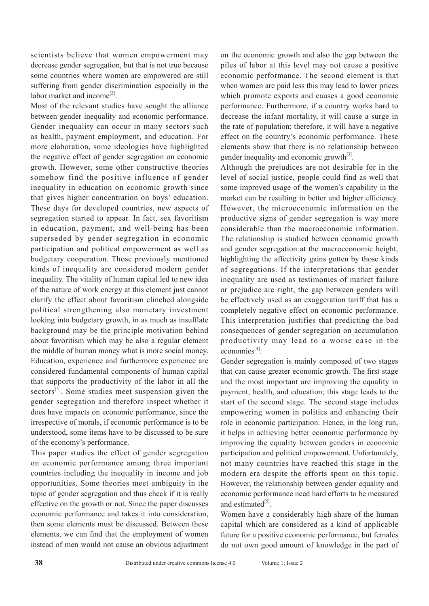scientists believe that women empowerment may decrease gender segregation, but that is not true because some countries where women are empowered are still suffering from gender discrimination especially in the labor market and income<sup>[2]</sup>.

Most of the relevant studies have sought the alliance between gender inequality and economic performance. Gender inequality can occur in many sectors such as health, payment employment, and education. For more elaboration, some ideologies have highlighted the negative effect of gender segregation on economic growth. However, some other constructive theories somehow find the positive influence of gender inequality in education on economic growth since that gives higher concentration on boys' education. These days for developed countries, new aspects of segregation started to appear. In fact, sex favoritism in education, payment, and well-being has been superseded by gender segregation in economic participation and political empowerment as well as budgetary cooperation. Those previously mentioned kinds of inequality are considered modern gender inequality. The vitality of human capital led to new idea of the nature of work energy at this element just cannot clarify the effect about favoritism clinched alongside political strengthening also monetary investment looking into budgetary growth, in as much as insufflate background may be the principle motivation behind about favoritism which may be also a regular element the middle of human money what is more social money. Education, experience and furthermore experience are considered fundamental components of human capital that supports the productivity of the labor in all the sectors<sup>[3]</sup>. Some studies meet suspension given the gender segregation and therefore inspect whether it does have impacts on economic performance, since the irrespective of morals, if economic performance is to be understood, some items have to be discussed to be sure of the economy's performance.

This paper studies the effect of gender segregation on economic performance among three important countries including the inequality in income and job opportunities. Some theories meet ambiguity in the topic of gender segregation and thus check if it is really effective on the growth or not. Since the paper discusses economic performance and takes it into consideration, then some elements must be discussed. Between these elements, we can find that the employment of women instead of men would not cause an obvious adjustment

on the economic growth and also the gap between the piles of labor at this level may not cause a positive economic performance. The second element is that when women are paid less this may lead to lower prices which promote exports and causes a good economic performance. Furthermore, if a country works hard to decrease the infant mortality, it will cause a surge in the rate of population; therefore, it will have a negative effect on the country's economic performance. These elements show that there is no relationship between gender inequality and economic growth $[3]$ .

Although the prejudices are not desirable for in the level of social justice, people could find as well that some improved usage of the women's capability in the market can be resulting in better and higher efficiency. However, the microeconomic information on the productive signs of gender segregation is way more considerable than the macroeconomic information. The relationship is studied between economic growth and gender segregation at the macroeconomic height, highlighting the affectivity gains gotten by those kinds of segregations. If the interpretations that gender inequality are used as testimonies of market failure or prejudice are right, the gap between genders will be effectively used as an exaggeration tariff that has a completely negative effect on economic performance. This interpretation justifies that predicting the bad consequences of gender segregation on accumulation productivity may lead to a worse case in the economies $[4]$ .

Gender segregation is mainly composed of two stages that can cause greater economic growth. The first stage and the most important are improving the equality in payment, health, and education; this stage leads to the start of the second stage. The second stage includes empowering women in politics and enhancing their role in economic participation. Hence, in the long run, it helps in achieving better economic performance by improving the equality between genders in economic participation and political empowerment. Unfortunately, not many countries have reached this stage in the modern era despite the efforts spent on this topic. However, the relationship between gender equality and economic performance need hard efforts to be measured and estimated $[5]$ .

Women have a considerably high share of the human capital which are considered as a kind of applicable future for a positive economic performance, but females do not own good amount of knowledge in the part of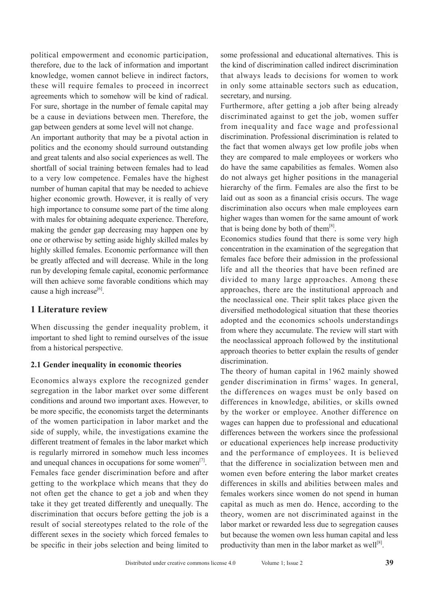political empowerment and economic participation, therefore, due to the lack of information and important knowledge, women cannot believe in indirect factors, these will require females to proceed in incorrect agreements which to somehow will be kind of radical. For sure, shortage in the number of female capital may be a cause in deviations between men. Therefore, the gap between genders at some level will not change.

An important authority that may be a pivotal action in politics and the economy should surround outstanding and great talents and also social experiences as well. The shortfall of social training between females had to lead to a very low competence. Females have the highest number of human capital that may be needed to achieve higher economic growth. However, it is really of very high importance to consume some part of the time along with males for obtaining adequate experience. Therefore, making the gender gap decreasing may happen one by one or otherwise by setting aside highly skilled males by highly skilled females. Economic performance will then be greatly affected and will decrease. While in the long run by developing female capital, economic performance will then achieve some favorable conditions which may cause a high increase<sup>[6]</sup>.

#### **1 Literature review**

When discussing the gender inequality problem, it important to shed light to remind ourselves of the issue from a historical perspective.

#### **2.1 Gender inequality in economic theories**

Economics always explore the recognized gender segregation in the labor market over some different conditions and around two important axes. However, to be more specific, the economists target the determinants of the women participation in labor market and the side of supply, while, the investigations examine the different treatment of females in the labor market which is regularly mirrored in somehow much less incomes and unequal chances in occupations for some women $<sup>[7]</sup>$ .</sup> Females face gender discrimination before and after getting to the workplace which means that they do not often get the chance to get a job and when they take it they get treated differently and unequally. The discrimination that occurs before getting the job is a result of social stereotypes related to the role of the different sexes in the society which forced females to be specific in their jobs selection and being limited to

some professional and educational alternatives. This is the kind of discrimination called indirect discrimination that always leads to decisions for women to work in only some attainable sectors such as education, secretary, and nursing.

Furthermore, after getting a job after being already discriminated against to get the job, women suffer from inequality and face wage and professional discrimination. Professional discrimination is related to the fact that women always get low profile jobs when they are compared to male employees or workers who do have the same capabilities as females. Women also do not always get higher positions in the managerial hierarchy of the firm. Females are also the first to be laid out as soon as a financial crisis occurs. The wage discrimination also occurs when male employees earn higher wages than women for the same amount of work that is being done by both of them<sup>[8]</sup>.

Economics studies found that there is some very high concentration in the examination of the segregation that females face before their admission in the professional life and all the theories that have been refined are divided to many large approaches. Among these approaches, there are the institutional approach and the neoclassical one. Their split takes place given the diversified methodological situation that these theories adopted and the economics schools understandings from where they accumulate. The review will start with the neoclassical approach followed by the institutional approach theories to better explain the results of gender discrimination.

The theory of human capital in 1962 mainly showed gender discrimination in firms' wages. In general, the differences on wages must be only based on differences in knowledge, abilities, or skills owned by the worker or employee. Another difference on wages can happen due to professional and educational differences between the workers since the professional or educational experiences help increase productivity and the performance of employees. It is believed that the difference in socialization between men and women even before entering the labor market creates differences in skills and abilities between males and females workers since women do not spend in human capital as much as men do. Hence, according to the theory, women are not discriminated against in the labor market or rewarded less due to segregation causes but because the women own less human capital and less productivity than men in the labor market as well<sup>[8]</sup>.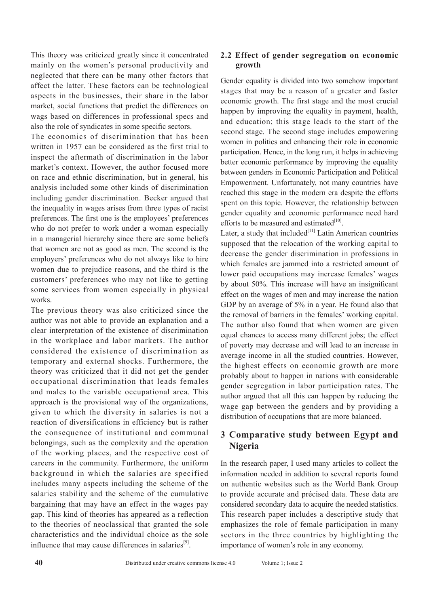This theory was criticized greatly since it concentrated mainly on the women's personal productivity and neglected that there can be many other factors that affect the latter. These factors can be technological aspects in the businesses, their share in the labor market, social functions that predict the differences on wags based on differences in professional specs and also the role of syndicates in some specific sectors.

The economics of discrimination that has been written in 1957 can be considered as the first trial to inspect the aftermath of discrimination in the labor market's context. However, the author focused more on race and ethnic discrimination, but in general, his analysis included some other kinds of discrimination including gender discrimination. Becker argued that the inequality in wages arises from three types of racist preferences. The first one is the employees' preferences who do not prefer to work under a woman especially in a managerial hierarchy since there are some beliefs that women are not as good as men. The second is the employers' preferences who do not always like to hire women due to prejudice reasons, and the third is the customers' preferences who may not like to getting some services from women especially in physical works.

The previous theory was also criticized since the author was not able to provide an explanation and a clear interpretation of the existence of discrimination in the workplace and labor markets. The author considered the existence of discrimination as temporary and external shocks. Furthermore, the theory was criticized that it did not get the gender occupational discrimination that leads females and males to the variable occupational area. This approach is the provisional way of the organizations, given to which the diversity in salaries is not a reaction of diversifications in efficiency but is rather the consequence of institutional and communal belongings, such as the complexity and the operation of the working places, and the respective cost of careers in the community. Furthermore, the uniform background in which the salaries are specified includes many aspects including the scheme of the salaries stability and the scheme of the cumulative bargaining that may have an effect in the wages pay gap. This kind of theories has appeared as a reflection to the theories of neoclassical that granted the sole characteristics and the individual choice as the sole influence that may cause differences in salaries $[9]$ .

#### **2.2 Effect of gender segregation on economic growth**

Gender equality is divided into two somehow important stages that may be a reason of a greater and faster economic growth. The first stage and the most crucial happen by improving the equality in payment, health, and education; this stage leads to the start of the second stage. The second stage includes empowering women in politics and enhancing their role in economic participation. Hence, in the long run, it helps in achieving better economic performance by improving the equality between genders in Economic Participation and Political Empowerment. Unfortunately, not many countries have reached this stage in the modern era despite the efforts spent on this topic. However, the relationship between gender equality and economic performance need hard efforts to be measured and estimated $[10]$ .

Later, a study that included $[11]$  Latin American countries supposed that the relocation of the working capital to decrease the gender discrimination in professions in which females are jammed into a restricted amount of lower paid occupations may increase females' wages by about 50%. This increase will have an insignificant effect on the wages of men and may increase the nation GDP by an average of 5% in a year. He found also that the removal of barriers in the females' working capital. The author also found that when women are given equal chances to access many different jobs; the effect of poverty may decrease and will lead to an increase in average income in all the studied countries. However, the highest effects on economic growth are more probably about to happen in nations with considerable gender segregation in labor participation rates. The author argued that all this can happen by reducing the wage gap between the genders and by providing a distribution of occupations that are more balanced.

### **3 Comparative study between Egypt and Nigeria**

In the research paper, I used many articles to collect the information needed in addition to several reports found on authentic websites such as the World Bank Group to provide accurate and précised data. These data are considered secondary data to acquire the needed statistics. This research paper includes a descriptive study that emphasizes the role of female participation in many sectors in the three countries by highlighting the importance of women's role in any economy.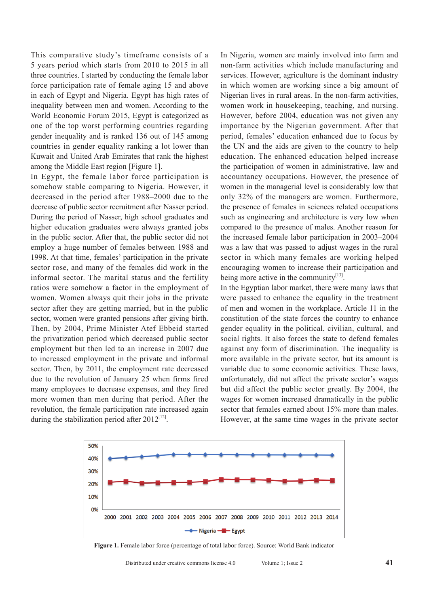This comparative study's timeframe consists of a 5 years period which starts from 2010 to 2015 in all three countries. I started by conducting the female labor force participation rate of female aging 15 and above in each of Egypt and Nigeria. Egypt has high rates of inequality between men and women. According to the World Economic Forum 2015, Egypt is categorized as one of the top worst performing countries regarding gender inequality and is ranked 136 out of 145 among countries in gender equality ranking a lot lower than Kuwait and United Arab Emirates that rank the highest among the Middle East region [Figure 1].

In Egypt, the female labor force participation is somehow stable comparing to Nigeria. However, it decreased in the period after 1988–2000 due to the decrease of public sector recruitment after Nasser period. During the period of Nasser, high school graduates and higher education graduates were always granted jobs in the public sector. After that, the public sector did not employ a huge number of females between 1988 and 1998. At that time, females' participation in the private sector rose, and many of the females did work in the informal sector. The marital status and the fertility ratios were somehow a factor in the employment of women. Women always quit their jobs in the private sector after they are getting married, but in the public sector, women were granted pensions after giving birth. Then, by 2004, Prime Minister Atef Ebbeid started the privatization period which decreased public sector employment but then led to an increase in 2007 due to increased employment in the private and informal sector. Then, by 2011, the employment rate decreased due to the revolution of January 25 when firms fired many employees to decrease expenses, and they fired more women than men during that period. After the revolution, the female participation rate increased again during the stabilization period after  $2012^{[12]}$ .

In Nigeria, women are mainly involved into farm and non-farm activities which include manufacturing and services. However, agriculture is the dominant industry in which women are working since a big amount of Nigerian lives in rural areas. In the non-farm activities, women work in housekeeping, teaching, and nursing. However, before 2004, education was not given any importance by the Nigerian government. After that period, females' education enhanced due to focus by the UN and the aids are given to the country to help education. The enhanced education helped increase the participation of women in administrative, law and accountancy occupations. However, the presence of women in the managerial level is considerably low that only 32% of the managers are women. Furthermore, the presence of females in sciences related occupations such as engineering and architecture is very low when compared to the presence of males. Another reason for the increased female labor participation in 2003–2004 was a law that was passed to adjust wages in the rural sector in which many females are working helped encouraging women to increase their participation and being more active in the community $[13]$ .

In the Egyptian labor market, there were many laws that were passed to enhance the equality in the treatment of men and women in the workplace. Article 11 in the constitution of the state forces the country to enhance gender equality in the political, civilian, cultural, and social rights. It also forces the state to defend females against any form of discrimination. The inequality is more available in the private sector, but its amount is variable due to some economic activities. These laws, unfortunately, did not affect the private sector's wages but did affect the public sector greatly. By 2004, the wages for women increased dramatically in the public sector that females earned about 15% more than males. However, at the same time wages in the private sector



**Figure 1.** Female labor force (percentage of total labor force). Source: World Bank indicator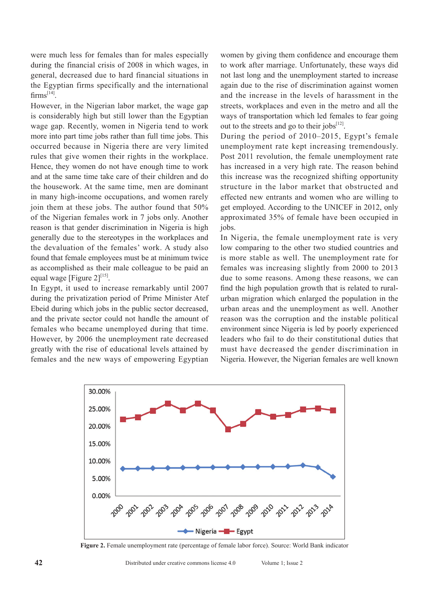were much less for females than for males especially during the financial crisis of 2008 in which wages, in general, decreased due to hard financial situations in the Egyptian firms specifically and the international  $firms^{[14]}$ 

However, in the Nigerian labor market, the wage gap is considerably high but still lower than the Egyptian wage gap. Recently, women in Nigeria tend to work more into part time jobs rather than full time jobs. This occurred because in Nigeria there are very limited rules that give women their rights in the workplace. Hence, they women do not have enough time to work and at the same time take care of their children and do the housework. At the same time, men are dominant in many high-income occupations, and women rarely join them at these jobs. The author found that 50% of the Nigerian females work in 7 jobs only. Another reason is that gender discrimination in Nigeria is high generally due to the stereotypes in the workplaces and the devaluation of the females' work. A study also found that female employees must be at minimum twice as accomplished as their male colleague to be paid an equal wage [Figure  $2$ ]<sup>[15]</sup>.

In Egypt, it used to increase remarkably until 2007 during the privatization period of Prime Minister Atef Ebeid during which jobs in the public sector decreased, and the private sector could not handle the amount of females who became unemployed during that time. However, by 2006 the unemployment rate decreased greatly with the rise of educational levels attained by females and the new ways of empowering Egyptian

women by giving them confidence and encourage them to work after marriage. Unfortunately, these ways did not last long and the unemployment started to increase again due to the rise of discrimination against women and the increase in the levels of harassment in the streets, workplaces and even in the metro and all the ways of transportation which led females to fear going out to the streets and go to their jobs $^{[12]}$ .

During the period of 2010–2015, Egypt's female unemployment rate kept increasing tremendously. Post 2011 revolution, the female unemployment rate has increased in a very high rate. The reason behind this increase was the recognized shifting opportunity structure in the labor market that obstructed and effected new entrants and women who are willing to get employed. According to the UNICEF in 2012, only approximated 35% of female have been occupied in jobs.

In Nigeria, the female unemployment rate is very low comparing to the other two studied countries and is more stable as well. The unemployment rate for females was increasing slightly from 2000 to 2013 due to some reasons. Among these reasons, we can find the high population growth that is related to ruralurban migration which enlarged the population in the urban areas and the unemployment as well. Another reason was the corruption and the instable political environment since Nigeria is led by poorly experienced leaders who fail to do their constitutional duties that must have decreased the gender discrimination in Nigeria. However, the Nigerian females are well known



**Figure 2.** Female unemployment rate (percentage of female labor force). Source: World Bank indicator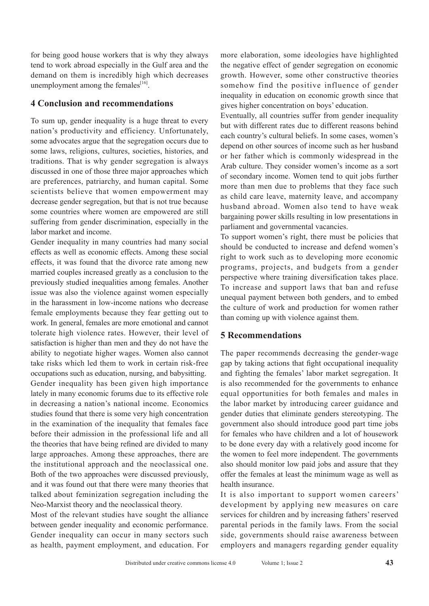for being good house workers that is why they always tend to work abroad especially in the Gulf area and the demand on them is incredibly high which decreases unemployment among the females $^{[16]}$ .

#### **4 Conclusion and recommendations**

To sum up, gender inequality is a huge threat to every nation's productivity and efficiency. Unfortunately, some advocates argue that the segregation occurs due to some laws, religions, cultures, societies, histories, and traditions. That is why gender segregation is always discussed in one of those three major approaches which are preferences, patriarchy, and human capital. Some scientists believe that women empowerment may decrease gender segregation, but that is not true because some countries where women are empowered are still suffering from gender discrimination, especially in the labor market and income.

Gender inequality in many countries had many social effects as well as economic effects. Among these social effects, it was found that the divorce rate among new married couples increased greatly as a conclusion to the previously studied inequalities among females. Another issue was also the violence against women especially in the harassment in low-income nations who decrease female employments because they fear getting out to work. In general, females are more emotional and cannot tolerate high violence rates. However, their level of satisfaction is higher than men and they do not have the ability to negotiate higher wages. Women also cannot take risks which led them to work in certain risk-free occupations such as education, nursing, and babysitting. Gender inequality has been given high importance lately in many economic forums due to its effective role in decreasing a nation's national income. Economics studies found that there is some very high concentration in the examination of the inequality that females face before their admission in the professional life and all the theories that have being refined are divided to many large approaches. Among these approaches, there are the institutional approach and the neoclassical one. Both of the two approaches were discussed previously, and it was found out that there were many theories that talked about feminization segregation including the Neo-Marxist theory and the neoclassical theory.

Most of the relevant studies have sought the alliance between gender inequality and economic performance. Gender inequality can occur in many sectors such as health, payment employment, and education. For more elaboration, some ideologies have highlighted the negative effect of gender segregation on economic growth. However, some other constructive theories somehow find the positive influence of gender inequality in education on economic growth since that gives higher concentration on boys' education.

Eventually, all countries suffer from gender inequality but with different rates due to different reasons behind each country's cultural beliefs. In some cases, women's depend on other sources of income such as her husband or her father which is commonly widespread in the Arab culture. They consider women's income as a sort of secondary income. Women tend to quit jobs further more than men due to problems that they face such as child care leave, maternity leave, and accompany husband abroad. Women also tend to have weak bargaining power skills resulting in low presentations in parliament and governmental vacancies.

To support women's right, there must be policies that should be conducted to increase and defend women's right to work such as to developing more economic programs, projects, and budgets from a gender perspective where training diversification takes place. To increase and support laws that ban and refuse unequal payment between both genders, and to embed the culture of work and production for women rather than coming up with violence against them.

#### **5 Recommendations**

The paper recommends decreasing the gender-wage gap by taking actions that fight occupational inequality and fighting the females' labor market segregation. It is also recommended for the governments to enhance equal opportunities for both females and males in the labor market by introducing career guidance and gender duties that eliminate genders stereotyping. The government also should introduce good part time jobs for females who have children and a lot of housework to be done every day with a relatively good income for the women to feel more independent. The governments also should monitor low paid jobs and assure that they offer the females at least the minimum wage as well as health insurance.

It is also important to support women careers' development by applying new measures on care services for children and by increasing fathers' reserved parental periods in the family laws. From the social side, governments should raise awareness between employers and managers regarding gender equality